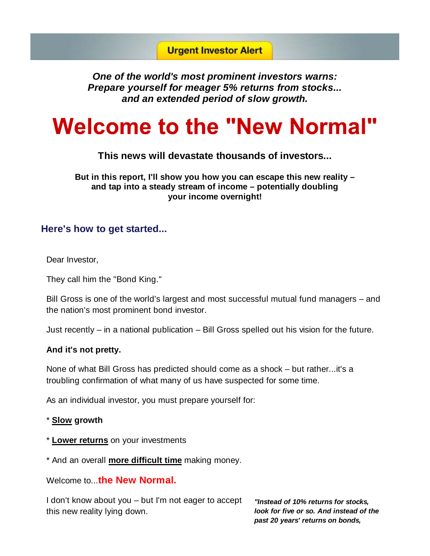#### **Urgent Investor Alert**

*One of the world's most prominent investors warns: Prepare yourself for meager 5% returns from stocks... and an extended period of slow growth.*

# Welcome to the "New Normal"

#### **This news will devastate thousands of investors...**

**But in this report, I'll show you how you can escape this new reality – and tap into a steady stream of income – potentially doubling your income overnight!**

#### **Here's how to get started...**

Dear Investor,

They call him the "Bond King."

Bill Gross is one of the world's largest and most successful mutual fund managers – and the nation's most prominent bond investor.

Just recently – in a national publication – Bill Gross spelled out his vision for the future.

#### **And it's not pretty.**

None of what Bill Gross has predicted should come as a shock – but rather...it's a troubling confirmation of what many of us have suspected for some time.

As an individual investor, you must prepare yourself for:

#### \* **Slow growth**

\* **Lower returns** on your investments

\* And an overall **more difficult time** making money.

Welcome to **the New Normal.** 

I don't know about you – but I'm not eager to accept this new reality lying down.

*"Instead of 10% returns for stocks, look for five or so. And instead of the past 20 years' returns on bonds,*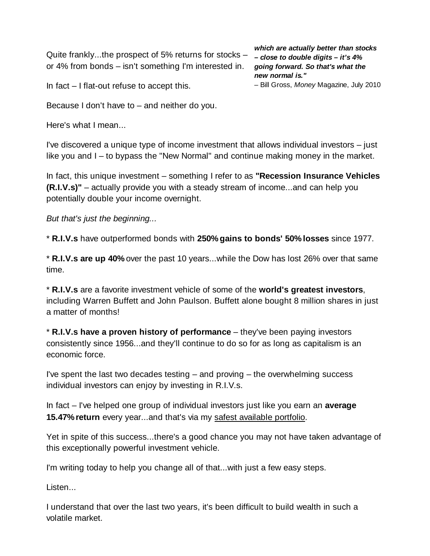Quite frankly...the prospect of 5% returns for stocks – or 4% from bonds – isn't something I'm interested in.

*which are actually better than stocks – close to double digits – it's 4% going forward. So that's what the new normal is."* – Bill Gross, *Money* Magazine, July 2010

In fact – I flat-out refuse to accept this.

Because I don't have to – and neither do you.

Here's what I mean...

I've discovered a unique type of income investment that allows individual investors – just like you and I – to bypass the "New Normal" and continue making money in the market.

In fact, this unique investment – something I refer to as **"Recession Insurance Vehicles (R.I.V.s)"** – actually provide you with a steady stream of income...and can help you potentially double your income overnight.

*But that's just the beginning...*

\* **R.I.V.s** have outperformed bonds with **250% gains to bonds' 50% losses** since 1977.

\* **R.I.V.s are up 40%** over the past 10 years...while the Dow has lost 26% over that same time.

\* **R.I.V.s** are a favorite investment vehicle of some of the **world's greatest investors**, including Warren Buffett and John Paulson. Buffett alone bought 8 million shares in just a matter of months!

\* **R.I.V.s have a proven history of performance** – they've been paying investors consistently since 1956...and they'll continue to do so for as long as capitalism is an economic force.

I've spent the last two decades testing  $-$  and proving  $-$  the overwhelming success individual investors can enjoy by investing in R.I.V.s.

In fact – I've helped one group of individual investors just like you earn an **average 15.47% return** every year...and that's via my safest available portfolio.

Yet in spite of this success...there's a good chance you may not have taken advantage of this exceptionally powerful investment vehicle.

I'm writing today to help you change all of that...with just a few easy steps.

Listen...

I understand that over the last two years, it's been difficult to build wealth in such a volatile market.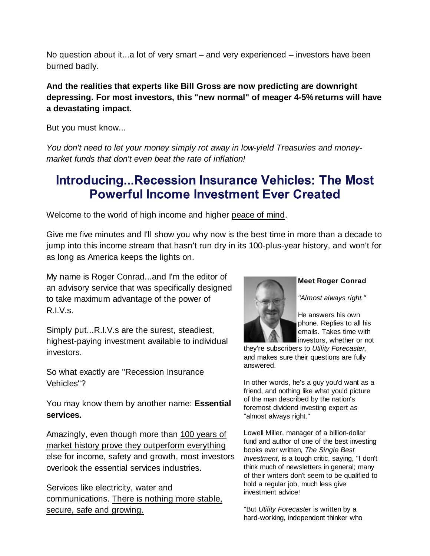No question about it...a lot of very smart – and very experienced – investors have been burned badly.

### **And the realities that experts like Bill Gross are now predicting are downright depressing. For most investors, this "new normal" of meager 4-5% returns will have a devastating impact.**

But you must know...

*You don't need to let your money simply rot away in low-yield Treasuries and moneymarket funds that don't even beat the rate of inflation!*

### **Introducing...Recession Insurance Vehicles: The Most Powerful Income Investment Ever Created**

Welcome to the world of high income and higher peace of mind.

Give me five minutes and I'll show you why now is the best time in more than a decade to jump into this income stream that hasn't run dry in its 100-plus-year history, and won't for as long as America keeps the lights on.

My name is Roger Conrad...and I'm the editor of an advisory service that was specifically designed to take maximum advantage of the power of  $RIVs$ 

Simply put...R.I.V.s are the surest, steadiest, highest-paying investment available to individual investors.

So what exactly are "Recession Insurance Vehicles"?

You may know them by another name: **Essential services.**

Amazingly, even though more than 100 years of market history prove they outperform everything else for income, safety and growth, most investors overlook the essential services industries.

Services like electricity, water and communications. There is nothing more stable, secure, safe and growing.



#### **Meet Roger Conrad**

*"Almost always right."*

He answers his own phone. Replies to all his emails. Takes time with investors, whether or not

they're subscribers to *Utility Forecaster*, and makes sure their questions are fully answered.

In other words, he's a guy you'd want as a friend, and nothing like what you'd picture of the man described by the nation's foremost dividend investing expert as "almost always right."

Lowell Miller, manager of a billion-dollar fund and author of one of the best investing books ever written, *The Single Best Investment*, is a tough critic, saying, "I don't think much of newsletters in general; many of their writers don't seem to be qualified to hold a regular job, much less give investment advice!

"But *Utility Forecaster* is written by a hard-working, independent thinker who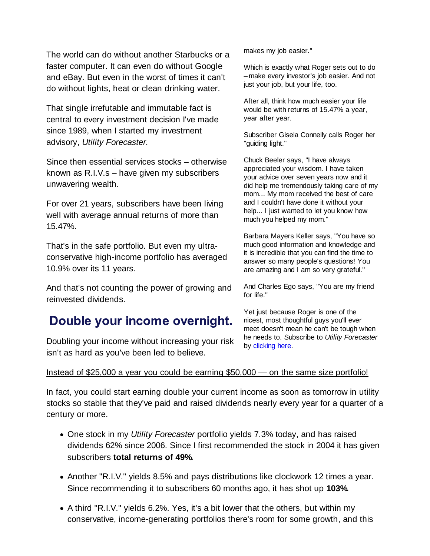The world can do without another Starbucks or a faster computer. It can even do without Google and eBay. But even in the worst of times it can't do without lights, heat or clean drinking water.

That single irrefutable and immutable fact is central to every investment decision I've made since 1989, when I started my investment advisory, *Utility Forecaster.*

Since then essential services stocks – otherwise known as R.I.V.s – have given my subscribers unwavering wealth.

For over 21 years, subscribers have been living well with average annual returns of more than 15.47%.

That's in the safe portfolio. But even my ultraconservative high-income portfolio has averaged 10.9% over its 11 years.

And that's not counting the power of growing and reinvested dividends.

### Double your income overnight.

Doubling your income without increasing your risk isn't as hard as you've been led to believe.

makes my job easier."

Which is exactly what Roger sets out to do – make every investor's job easier. And not just your job, but your life, too.

After all, think how much easier your life would be with returns of 15.47% a year, year after year.

Subscriber Gisela Connelly calls Roger her "guiding light."

Chuck Beeler says, "I have always appreciated your wisdom. I have taken your advice over seven years now and it did help me tremendously taking care of my mom... My mom received the best of care and I couldn't have done it without your help... I just wanted to let you know how much you helped my mom."

Barbara Mayers Keller says, "You have so much good information and knowledge and it is incredible that you can find the time to answer so many people's questions! You are amazing and I am so very grateful."

And Charles Ego says, "You are my friend for life."

Yet just because Roger is one of the nicest, most thoughtful guys you'll ever meet doesn't mean he can't be tough when he needs to. Subscribe to *Utility Forecaster* by clicking here.

#### Instead of \$25,000 a year you could be earning \$50,000 — on the same size portfolio!

In fact, you could start earning double your current income as soon as tomorrow in utility stocks so stable that they've paid and raised dividends nearly every year for a quarter of a century or more.

- One stock in my *Utility Forecaster* portfolio yields 7.3% today, and has raised dividends 62% since 2006. Since I first recommended the stock in 2004 it has given subscribers **total returns of 49%.**
- Another "R.I.V." yields 8.5% and pays distributions like clockwork 12 times a year. Since recommending it to subscribers 60 months ago, it has shot up **103%.**
- A third "R.I.V." yields 6.2%. Yes, it's a bit lower that the others, but within my conservative, income-generating portfolios there's room for some growth, and this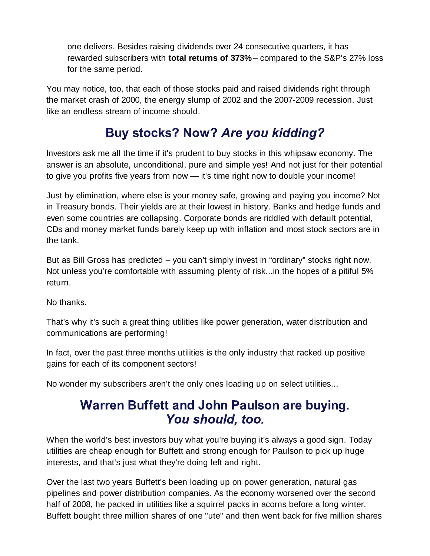one delivers. Besides raising dividends over 24 consecutive quarters, it has rewarded subscribers with **total returns of 373%** – compared to the S&P's 27% loss for the same period.

You may notice, too, that each of those stocks paid and raised dividends right through the market crash of 2000, the energy slump of 2002 and the 2007-2009 recession. Just like an endless stream of income should.

# **Buy stocks? Now? Are you kidding?**

Investors ask me all the time if it's prudent to buy stocks in this whipsaw economy. The answer is an absolute, unconditional, pure and simple yes! And not just for their potential to give you profits five years from now — it's time right now to double your income!

Just by elimination, where else is your money safe, growing and paying you income? Not in Treasury bonds. Their yields are at their lowest in history. Banks and hedge funds and even some countries are collapsing. Corporate bonds are riddled with default potential, CDs and money market funds barely keep up with inflation and most stock sectors are in the tank.

But as Bill Gross has predicted – you can't simply invest in "ordinary" stocks right now. Not unless you're comfortable with assuming plenty of risk...in the hopes of a pitiful 5% return.

No thanks.

That's why it's such a great thing utilities like power generation, water distribution and communications are performing!

In fact, over the past three months utilities is the only industry that racked up positive gains for each of its component sectors!

No wonder my subscribers aren't the only ones loading up on select utilities...

### Warren Buffett and John Paulson are buying. You should, too.

When the world's best investors buy what you're buying it's always a good sign. Today utilities are cheap enough for Buffett and strong enough for Paulson to pick up huge interests, and that's just what they're doing left and right.

Over the last two years Buffett's been loading up on power generation, natural gas pipelines and power distribution companies. As the economy worsened over the second half of 2008, he packed in utilities like a squirrel packs in acorns before a long winter. Buffett bought three million shares of one "ute" and then went back for five million shares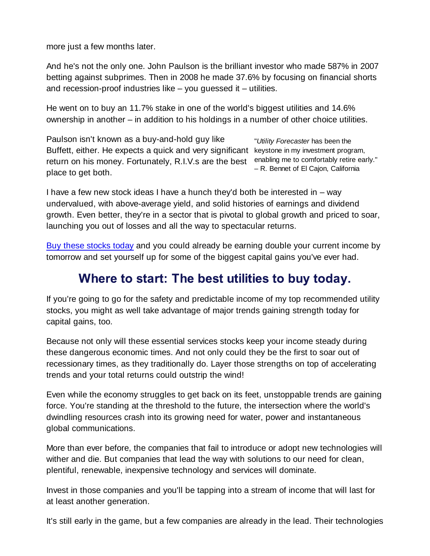more just a few months later.

And he's not the only one. John Paulson is the brilliant investor who made 587% in 2007 betting against subprimes. Then in 2008 he made 37.6% by focusing on financial shorts and recession-proof industries like – you guessed it – utilities.

He went on to buy an 11.7% stake in one of the world's biggest utilities and 14.6% ownership in another – in addition to his holdings in a number of other choice utilities.

"*Utility Forecaster* has been the Buffett, either. He expects a quick and very significant keystone in my investment program, return on his money. Fortunately, R.I.V.s are the best enabling me to comfortably retire early." – R. Bennet of El Cajon, California Paulson isn't known as a buy-and-hold guy like place to get both.

I have a few new stock ideas I have a hunch they'd both be interested in  $-$  way undervalued, with above-average yield, and solid histories of earnings and dividend growth. Even better, they're in a sector that is pivotal to global growth and priced to soar, launching you out of losses and all the way to spectacular returns.

Buy these stocks today and you could already be earning double your current income by tomorrow and set yourself up for some of the biggest capital gains you've ever had.

### Where to start: The best utilities to buy today.

If you're going to go for the safety and predictable income of my top recommended utility stocks, you might as well take advantage of major trends gaining strength today for capital gains, too.

Because not only will these essential services stocks keep your income steady during these dangerous economic times. And not only could they be the first to soar out of recessionary times, as they traditionally do. Layer those strengths on top of accelerating trends and your total returns could outstrip the wind!

Even while the economy struggles to get back on its feet, unstoppable trends are gaining force. You're standing at the threshold to the future, the intersection where the world's dwindling resources crash into its growing need for water, power and instantaneous global communications.

More than ever before, the companies that fail to introduce or adopt new technologies will wither and die. But companies that lead the way with solutions to our need for clean, plentiful, renewable, inexpensive technology and services will dominate.

Invest in those companies and you'll be tapping into a stream of income that will last for at least another generation.

It's still early in the game, but a few companies are already in the lead. Their technologies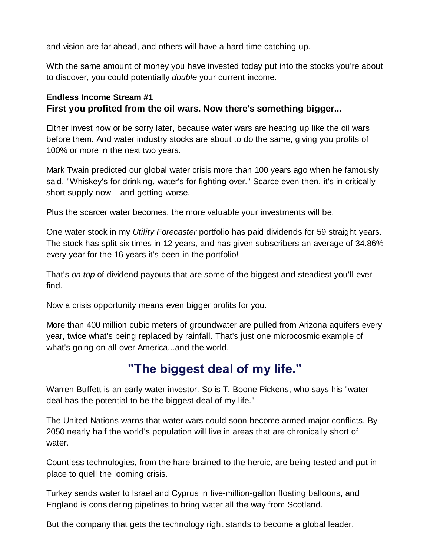and vision are far ahead, and others will have a hard time catching up.

With the same amount of money you have invested today put into the stocks you're about to discover, you could potentially *double* your current income.

#### **Endless Income Stream #1 First you profited from the oil wars. Now there's something bigger...**

Either invest now or be sorry later, because water wars are heating up like the oil wars before them. And water industry stocks are about to do the same, giving you profits of 100% or more in the next two years.

Mark Twain predicted our global water crisis more than 100 years ago when he famously said, "Whiskey's for drinking, water's for fighting over." Scarce even then, it's in critically short supply now – and getting worse.

Plus the scarcer water becomes, the more valuable your investments will be.

One water stock in my *Utility Forecaster* portfolio has paid dividends for 59 straight years. The stock has split six times in 12 years, and has given subscribers an average of 34.86% every year for the 16 years it's been in the portfolio!

That's *on top* of dividend payouts that are some of the biggest and steadiest you'll ever find.

Now a crisis opportunity means even bigger profits for you.

More than 400 million cubic meters of groundwater are pulled from Arizona aquifers every year, twice what's being replaced by rainfall. That's just one microcosmic example of what's going on all over America...and the world.

### "The biggest deal of my life."

Warren Buffett is an early water investor. So is T. Boone Pickens, who says his "water deal has the potential to be the biggest deal of my life."

The United Nations warns that water wars could soon become armed major conflicts. By 2050 nearly half the world's population will live in areas that are chronically short of water.

Countless technologies, from the hare-brained to the heroic, are being tested and put in place to quell the looming crisis.

Turkey sends water to Israel and Cyprus in five-million-gallon floating balloons, and England is considering pipelines to bring water all the way from Scotland.

But the company that gets the technology right stands to become a global leader.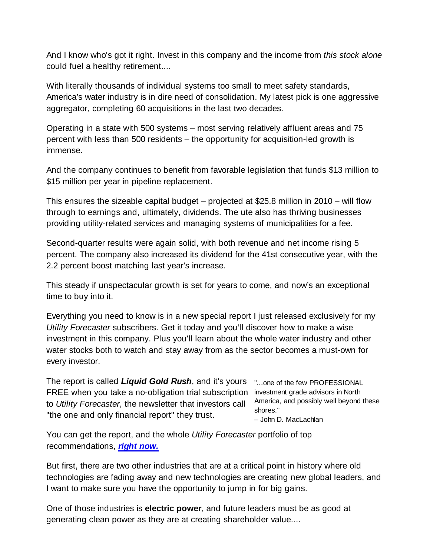And I know who's got it right. Invest in this company and the income from *this stock alone* could fuel a healthy retirement....

With literally thousands of individual systems too small to meet safety standards, America's water industry is in dire need of consolidation. My latest pick is one aggressive aggregator, completing 60 acquisitions in the last two decades.

Operating in a state with 500 systems – most serving relatively affluent areas and 75 percent with less than 500 residents – the opportunity for acquisition-led growth is immense.

And the company continues to benefit from favorable legislation that funds \$13 million to \$15 million per year in pipeline replacement.

This ensures the sizeable capital budget – projected at \$25.8 million in 2010 – will flow through to earnings and, ultimately, dividends. The ute also has thriving businesses providing utility-related services and managing systems of municipalities for a fee.

Second-quarter results were again solid, with both revenue and net income rising 5 percent. The company also increased its dividend for the 41st consecutive year, with the 2.2 percent boost matching last year's increase.

This steady if unspectacular growth is set for years to come, and now's an exceptional time to buy into it.

Everything you need to know is in a new special report I just released exclusively for my *Utility Forecaster* subscribers. Get it today and you'll discover how to make a wise investment in this company. Plus you'll learn about the whole water industry and other water stocks both to watch and stay away from as the sector becomes a must-own for every investor.

The report is called *Liquid Gold Rush*, and it's yours "...one of the few PROFESSIONAL FREE when you take a no-obligation trial subscription investment grade advisors in North America, and possibly well beyond these shores." – John D. MacLachlan to *Utility Forecaster*, the newsletter that investors call "the one and only financial report" they trust.

You can get the report, and the whole *Utility Forecaster* portfolio of top recommendations, *right now.*

But first, there are two other industries that are at a critical point in history where old technologies are fading away and new technologies are creating new global leaders, and I want to make sure you have the opportunity to jump in for big gains.

One of those industries is **electric power**, and future leaders must be as good at generating clean power as they are at creating shareholder value....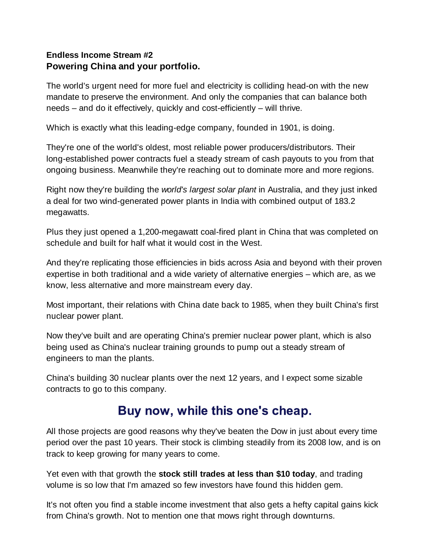### **Endless Income Stream #2 Powering China and your portfolio.**

The world's urgent need for more fuel and electricity is colliding head-on with the new mandate to preserve the environment. And only the companies that can balance both needs – and do it effectively, quickly and cost-efficiently – will thrive.

Which is exactly what this leading-edge company, founded in 1901, is doing.

They're one of the world's oldest, most reliable power producers/distributors. Their long-established power contracts fuel a steady stream of cash payouts to you from that ongoing business. Meanwhile they're reaching out to dominate more and more regions.

Right now they're building the *world's largest solar plant* in Australia, and they just inked a deal for two wind-generated power plants in India with combined output of 183.2 megawatts.

Plus they just opened a 1,200-megawatt coal-fired plant in China that was completed on schedule and built for half what it would cost in the West.

And they're replicating those efficiencies in bids across Asia and beyond with their proven expertise in both traditional and a wide variety of alternative energies – which are, as we know, less alternative and more mainstream every day.

Most important, their relations with China date back to 1985, when they built China's first nuclear power plant.

Now they've built and are operating China's premier nuclear power plant, which is also being used as China's nuclear training grounds to pump out a steady stream of engineers to man the plants.

China's building 30 nuclear plants over the next 12 years, and I expect some sizable contracts to go to this company.

### Buy now, while this one's cheap.

All those projects are good reasons why they've beaten the Dow in just about every time period over the past 10 years. Their stock is climbing steadily from its 2008 low, and is on track to keep growing for many years to come.

Yet even with that growth the **stock still trades at less than \$10 today**, and trading volume is so low that I'm amazed so few investors have found this hidden gem.

It's not often you find a stable income investment that also gets a hefty capital gains kick from China's growth. Not to mention one that mows right through downturns.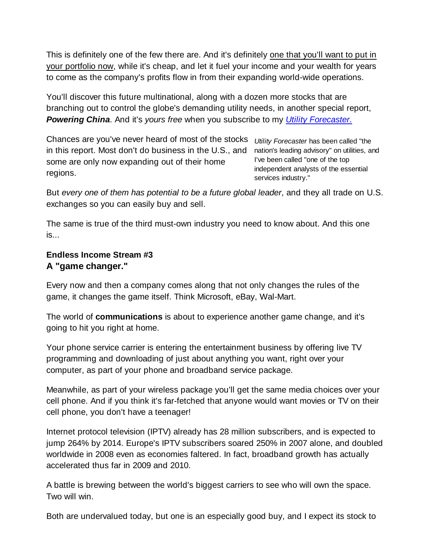This is definitely one of the few there are. And it's definitely one that you'll want to put in your portfolio now, while it's cheap, and let it fuel your income and your wealth for years to come as the company's profits flow in from their expanding world-wide operations.

You'll discover this future multinational, along with a dozen more stocks that are branching out to control the globe's demanding utility needs, in another special report, *Powering China*. And it's *yours free* when you subscribe to my *Utility Forecaster*.

Chances are you've never heard of most of the stocks Utility Forecaster has been called "the in this report. Most don't do business in the U.S., and nation's leading advisory" on utilities, and I've been called "one of the top independent analysts of the essential services industry." some are only now expanding out of their home regions.

But *every one of them has potential to be a future global leader*, and they all trade on U.S. exchanges so you can easily buy and sell.

The same is true of the third must-own industry you need to know about. And this one is...

### **Endless Income Stream #3 A "game changer."**

Every now and then a company comes along that not only changes the rules of the game, it changes the game itself. Think Microsoft, eBay, Wal-Mart.

The world of **communications** is about to experience another game change, and it's going to hit you right at home.

Your phone service carrier is entering the entertainment business by offering live TV programming and downloading of just about anything you want, right over your computer, as part of your phone and broadband service package.

Meanwhile, as part of your wireless package you'll get the same media choices over your cell phone. And if you think it's far-fetched that anyone would want movies or TV on their cell phone, you don't have a teenager!

Internet protocol television (IPTV) already has 28 million subscribers, and is expected to jump 264% by 2014. Europe's IPTV subscribers soared 250% in 2007 alone, and doubled worldwide in 2008 even as economies faltered. In fact, broadband growth has actually accelerated thus far in 2009 and 2010.

A battle is brewing between the world's biggest carriers to see who will own the space. Two will win.

Both are undervalued today, but one is an especially good buy, and I expect its stock to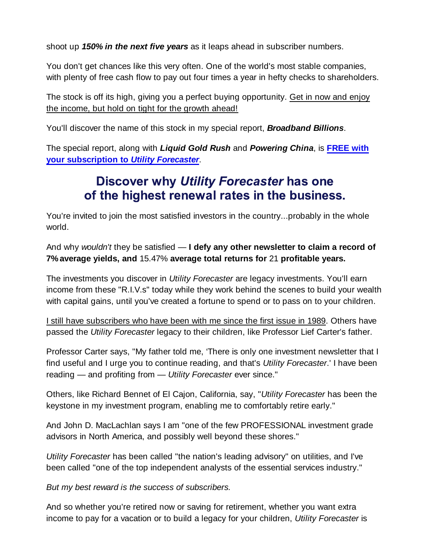shoot up *150% in the next five years* as it leaps ahead in subscriber numbers.

You don't get chances like this very often. One of the world's most stable companies, with plenty of free cash flow to pay out four times a year in hefty checks to shareholders.

The stock is off its high, giving you a perfect buying opportunity. Get in now and enjoy the income, but hold on tight for the growth ahead!

You'll discover the name of this stock in my special report, *Broadband Billions*.

The special report, along with *Liquid Gold Rush* and *Powering China*, is **FREE with your subscription to** *Utility Forecaster*.

### Discover why Utility Forecaster has one of the highest renewal rates in the business.

You're invited to join the most satisfied investors in the country...probably in the whole world.

And why *wouldn't* they be satisfied — **I defy any other newsletter to claim a record of 7% average yields, and** 15.47% **average total returns for** 21 **profitable years.**

The investments you discover in *Utility Forecaster* are legacy investments. You'll earn income from these "R.I.V.s" today while they work behind the scenes to build your wealth with capital gains, until you've created a fortune to spend or to pass on to your children.

I still have subscribers who have been with me since the first issue in 1989. Others have passed the *Utility Forecaster* legacy to their children, like Professor Lief Carter's father.

Professor Carter says, "My father told me, 'There is only one investment newsletter that I find useful and I urge you to continue reading, and that's *Utility Forecaster*.' I have been reading — and profiting from — *Utility Forecaster* ever since."

Others, like Richard Bennet of El Cajon, California, say, "*Utility Forecaster* has been the keystone in my investment program, enabling me to comfortably retire early."

And John D. MacLachlan says I am "one of the few PROFESSIONAL investment grade advisors in North America, and possibly well beyond these shores."

*Utility Forecaster* has been called "the nation's leading advisory" on utilities, and I've been called "one of the top independent analysts of the essential services industry."

*But my best reward is the success of subscribers.*

And so whether you're retired now or saving for retirement, whether you want extra income to pay for a vacation or to build a legacy for your children, *Utility Forecaster* is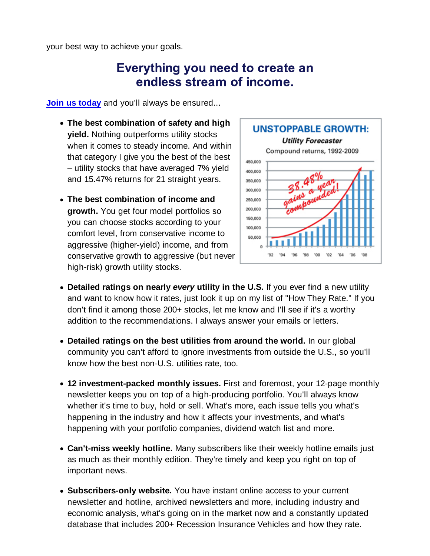your best way to achieve your goals.

### Everything you need to create an endless stream of income.

**Join us today** and you'll always be ensured...

- **The best combination of safety and high yield.** Nothing outperforms utility stocks when it comes to steady income. And within that category I give you the best of the best – utility stocks that have averaged 7% yield and 15.47% returns for 21 straight years.
- **The best combination of income and growth.** You get four model portfolios so you can choose stocks according to your comfort level, from conservative income to aggressive (higher-yield) income, and from conservative growth to aggressive (but never high-risk) growth utility stocks.



- **Detailed ratings on nearly** *every* **utility in the U.S.** If you ever find a new utility and want to know how it rates, just look it up on my list of "How They Rate." If you don't find it among those 200+ stocks, let me know and I'll see if it's a worthy addition to the recommendations. I always answer your emails or letters.
- **Detailed ratings on the best utilities from around the world.** In our global community you can't afford to ignore investments from outside the U.S., so you'll know how the best non-U.S. utilities rate, too.
- **12 investment-packed monthly issues.** First and foremost, your 12-page monthly newsletter keeps you on top of a high-producing portfolio. You'll always know whether it's time to buy, hold or sell. What's more, each issue tells you what's happening in the industry and how it affects your investments, and what's happening with your portfolio companies, dividend watch list and more.
- **Can't-miss weekly hotline.** Many subscribers like their weekly hotline emails just as much as their monthly edition. They're timely and keep you right on top of important news.
- **Subscribers-only website.** You have instant online access to your current newsletter and hotline, archived newsletters and more, including industry and economic analysis, what's going on in the market now and a constantly updated database that includes 200+ Recession Insurance Vehicles and how they rate.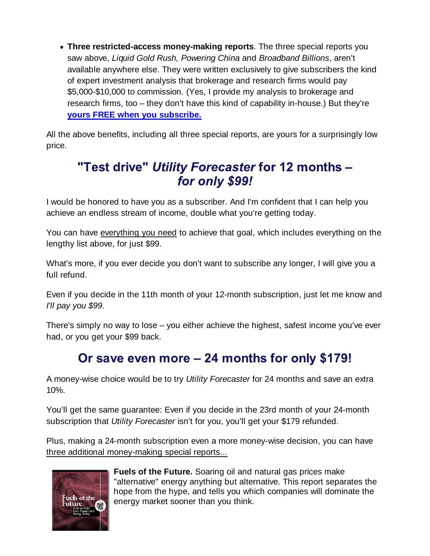**Three restricted-access money-making reports**. The three special reports you saw above, *Liquid Gold Rush, Powering China* and *Broadband Billions*, aren't available anywhere else. They were written exclusively to give subscribers the kind of expert investment analysis that brokerage and research firms would pay \$5,000-\$10,000 to commission. (Yes, I provide my analysis to brokerage and research firms, too – they don't have this kind of capability in-house.) But they're **yours FREE when you subscribe.**

All the above benefits, including all three special reports, are yours for a surprisingly low price.

# "Test drive" Utility Forecaster for 12 months for only \$99!

I would be honored to have you as a subscriber. And I'm confident that I can help you achieve an endless stream of income, double what you're getting today.

You can have everything you need to achieve that goal, which includes everything on the lengthy list above, for just \$99.

What's more, if you ever decide you don't want to subscribe any longer, I will give you a full refund.

Even if you decide in the 11th month of your 12-month subscription, just let me know and *I'll pay you \$99*.

There's simply no way to lose – you either achieve the highest, safest income you've ever had, or you get your \$99 back.

# Or save even more - 24 months for only \$179!

A money-wise choice would be to try *Utility Forecaster* for 24 months and save an extra 10%.

You'll get the same guarantee: Even if you decide in the 23rd month of your 24-month subscription that *Utility Forecaster* isn't for you, you'll get your \$179 refunded.

Plus, making a 24-month subscription even a more money-wise decision, you can have three additional money-making special reports...



**Fuels of the Future.** Soaring oil and natural gas prices make "alternative" energy anything but alternative. This report separates the hope from the hype, and tells you which companies will dominate the energy market sooner than you think.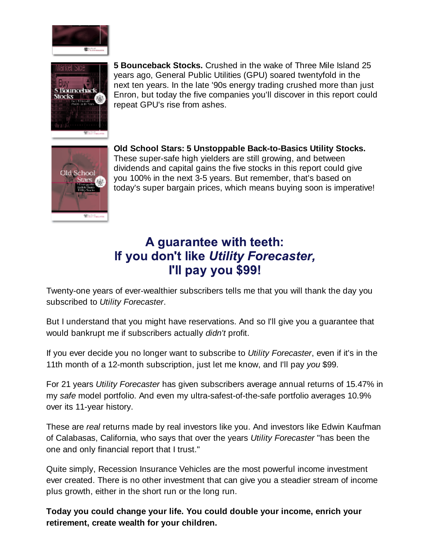



**5 Bounceback Stocks.** Crushed in the wake of Three Mile Island 25 years ago, General Public Utilities (GPU) soared twentyfold in the next ten years. In the late '90s energy trading crushed more than just Enron, but today the five companies you'll discover in this report could repeat GPU's rise from ashes.



**Old School Stars: 5 Unstoppable Back-to-Basics Utility Stocks.** These super-safe high yielders are still growing, and between dividends and capital gains the five stocks in this report could give you 100% in the next 3-5 years. But remember, that's based on today's super bargain prices, which means buying soon is imperative!

### A guarantee with teeth: If you don't like Utility Forecaster, I'll pay you \$99!

Twenty-one years of ever-wealthier subscribers tells me that you will thank the day you subscribed to *Utility Forecaster*.

But I understand that you might have reservations. And so I'll give you a guarantee that would bankrupt me if subscribers actually *didn't* profit.

If you ever decide you no longer want to subscribe to *Utility Forecaster*, even if it's in the 11th month of a 12-month subscription, just let me know, and I'll pay *you* \$99.

For 21 years *Utility Forecaster* has given subscribers average annual returns of 15.47% in my *safe* model portfolio. And even my ultra-safest-of-the-safe portfolio averages 10.9% over its 11-year history.

These are *real* returns made by real investors like you. And investors like Edwin Kaufman of Calabasas, California, who says that over the years *Utility Forecaster* "has been the one and only financial report that I trust."

Quite simply, Recession Insurance Vehicles are the most powerful income investment ever created. There is no other investment that can give you a steadier stream of income plus growth, either in the short run or the long run.

**Today you could change your life. You could double your income, enrich your retirement, create wealth for your children.**